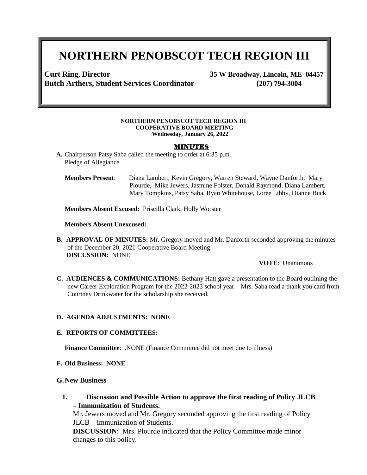# **NORTHERN PENOBSCOT TECH REGION III**

**Curt Ring, Director 35 W Broadway, Lincoln, ME 04457 Butch Arthers, Student Services Coordinator (207) 794-3004**

#### **NORTHERN PENOBSCOT TECH REGION III COOPERATIVE BOARD MEETING Wednesday, January 26, 2022**

#### MINUTES

- **A.** Chairperson Patsy Saba called the meeting to order at 6:35 p.m. Pledge of Allegiance
	- **Members Present**: Diana Lambert, Kevin Gregory, Warren Steward, Wayne Danforth, Mary Plourde, Mike Jewers, Jasmine Folster, Donald Raymond, Diana Lambert, Mary Tompkins, Patsy Saba, Ryan Whitehouse, Loree Libby, Dianne Buck

**Members Absent Excused:** Priscilla Clark, Holly Worster

**Members Absent Unexcused:**

**B. APPROVAL OF MINUTES:** Mr. Gregory moved and Mr. Danforth seconded approving the minutes of the December 20, 2021 Cooperative Board Meeting. **DISCUSSION:** NONE

#### **VOTE**: Unanimous

**C. AUDIENCES & COMMUNICATIONS:** Bethany Hatt gave a presentation to the Board outlining the new Career Exploration Program for the 2022-2023 school year. Mrs. Saba read a thank you card from Courtney Drinkwater for the scholarship she received.

#### **D. AGENDA ADJUSTMENTS: NONE**

#### **E. REPORTS OF COMMITTEES:**

**Finance Committee:** .NONE (Finance Committee did not meet due to illness)

**F. Old Business: NONE**

### **G.New Business**

**1. Discussion and Possible Action to approve the first reading of Policy JLCB – Immunization of Students.** 

Mr. Jewers moved and Mr. Gregory seconded approving the first reading of Policy JLCB – Immunization of Students.

**DISCUSSION**: Mrs. Plourde indicated that the Policy Committee made minor changes to this policy.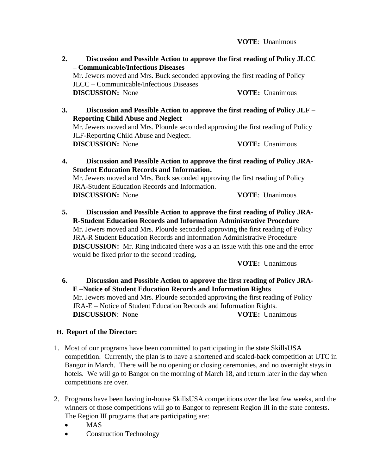**VOTE**: Unanimous

- **2. Discussion and Possible Action to approve the first reading of Policy JLCC – Communicable/Infectious Diseases** Mr. Jewers moved and Mrs. Buck seconded approving the first reading of Policy JLCC – Communicable/Infectious Diseases **DISCUSSION:** None **VOTE:** Unanimous
- **3. Discussion and Possible Action to approve the first reading of Policy JLF – Reporting Child Abuse and Neglect** Mr. Jewers moved and Mrs. Plourde seconded approving the first reading of Policy JLF-Reporting Child Abuse and Neglect. **DISCUSSION:** None **VOTE:** Unanimous
- **4. Discussion and Possible Action to approve the first reading of Policy JRA-Student Education Records and Information.** Mr. Jewers moved and Mrs. Buck seconded approving the first reading of Policy JRA-Student Education Records and Information. **DISCUSSION:** None **VOTE**: Unanimous
- **5. Discussion and Possible Action to approve the first reading of Policy JRA-R-Student Education Records and Information Administrative Procedure** Mr. Jewers moved and Mrs. Plourde seconded approving the first reading of Policy JRA-R Student Education Records and Information Administrative Procedure **DISCUSSION:** Mr. Ring indicated there was a an issue with this one and the error would be fixed prior to the second reading.

**VOTE:** Unanimous

**6. Discussion and Possible Action to approve the first reading of Policy JRA-E –Notice of Student Education Records and Information Rights** Mr. Jewers moved and Mrs. Plourde seconded approving the first reading of Policy JRA-E – Notice of Student Education Records and Information Rights. **DISCUSSION**: None **VOTE:** Unanimous

## **H. Report of the Director:**

- 1. Most of our programs have been committed to participating in the state SkillsUSA competition. Currently, the plan is to have a shortened and scaled-back competition at UTC in Bangor in March. There will be no opening or closing ceremonies, and no overnight stays in hotels. We will go to Bangor on the morning of March 18, and return later in the day when competitions are over.
- 2. Programs have been having in-house SkillsUSA competitions over the last few weeks, and the winners of those competitions will go to Bangor to represent Region III in the state contests. The Region III programs that are participating are:
	- MAS
	- Construction Technology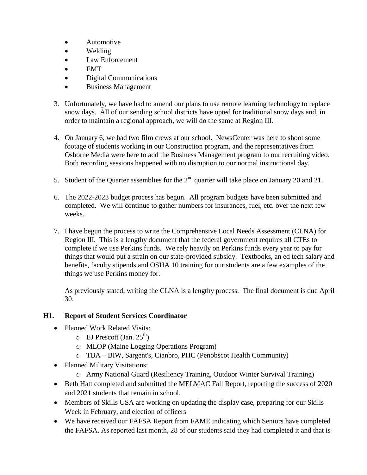- Automotive
- Welding
- Law Enforcement
- $\bullet$  EMT
- Digital Communications
- Business Management
- 3. Unfortunately, we have had to amend our plans to use remote learning technology to replace snow days. All of our sending school districts have opted for traditional snow days and, in order to maintain a regional approach, we will do the same at Region III.
- 4. On January 6, we had two film crews at our school. NewsCenter was here to shoot some footage of students working in our Construction program, and the representatives from Osborne Media were here to add the Business Management program to our recruiting video. Both recording sessions happened with no disruption to our normal instructional day.
- 5. Student of the Quarter assemblies for the  $2<sup>nd</sup>$  quarter will take place on January 20 and 21.
- 6. The 2022-2023 budget process has begun. All program budgets have been submitted and completed. We will continue to gather numbers for insurances, fuel, etc. over the next few weeks.
- 7. I have begun the process to write the Comprehensive Local Needs Assessment (CLNA) for Region III. This is a lengthy document that the federal government requires all CTEs to complete if we use Perkins funds. We rely heavily on Perkins funds every year to pay for things that would put a strain on our state-provided subsidy. Textbooks, an ed tech salary and benefits, faculty stipends and OSHA 10 training for our students are a few examples of the things we use Perkins money for.

As previously stated, writing the CLNA is a lengthy process. The final document is due April 30.

## **H1. Report of Student Services Coordinator**

- Planned Work Related Visits:
	- $\circ$  EJ Prescott (Jan. 25<sup>th</sup>)
	- o MLOP (Maine Logging Operations Program)
	- o TBA BIW, Sargent's, Cianbro, PHC (Penobscot Health Community)
- Planned Military Visitations:
	- o Army National Guard (Resiliency Training, Outdoor Winter Survival Training)
- Beth Hatt completed and submitted the MELMAC Fall Report, reporting the success of 2020 and 2021 students that remain in school.
- Members of Skills USA are working on updating the display case, preparing for our Skills Week in February, and election of officers
- We have received our FAFSA Report from FAME indicating which Seniors have completed the FAFSA. As reported last month, 28 of our students said they had completed it and that is